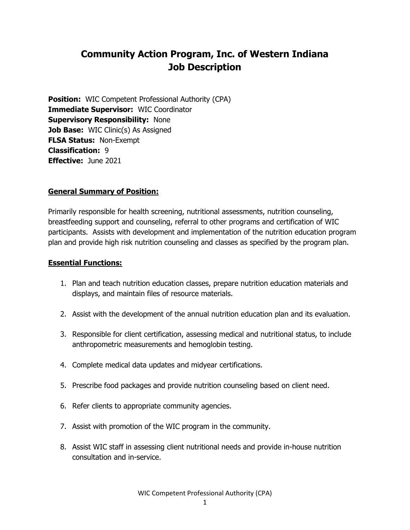# **Community Action Program, Inc. of Western Indiana Job Description**

**Position:** WIC Competent Professional Authority (CPA) **Immediate Supervisor:** WIC Coordinator **Supervisory Responsibility:** None **Job Base:** WIC Clinic(s) As Assigned **FLSA Status:** Non-Exempt **Classification:** 9 **Effective:** June 2021

### **General Summary of Position:**

Primarily responsible for health screening, nutritional assessments, nutrition counseling, breastfeeding support and counseling, referral to other programs and certification of WIC participants. Assists with development and implementation of the nutrition education program plan and provide high risk nutrition counseling and classes as specified by the program plan.

### **Essential Functions:**

- 1. Plan and teach nutrition education classes, prepare nutrition education materials and displays, and maintain files of resource materials.
- 2. Assist with the development of the annual nutrition education plan and its evaluation.
- 3. Responsible for client certification, assessing medical and nutritional status, to include anthropometric measurements and hemoglobin testing.
- 4. Complete medical data updates and midyear certifications.
- 5. Prescribe food packages and provide nutrition counseling based on client need.
- 6. Refer clients to appropriate community agencies.
- 7. Assist with promotion of the WIC program in the community.
- 8. Assist WIC staff in assessing client nutritional needs and provide in-house nutrition consultation and in-service.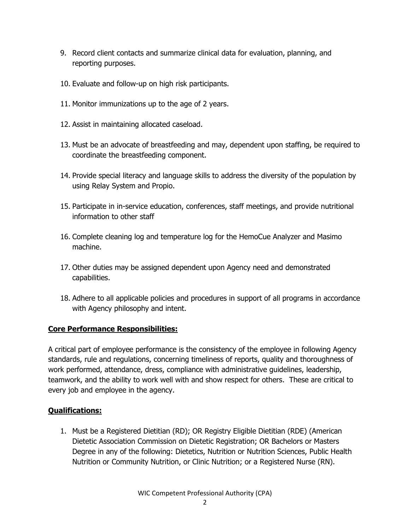- 9. Record client contacts and summarize clinical data for evaluation, planning, and reporting purposes.
- 10. Evaluate and follow-up on high risk participants.
- 11. Monitor immunizations up to the age of 2 years.
- 12. Assist in maintaining allocated caseload.
- 13. Must be an advocate of breastfeeding and may, dependent upon staffing, be required to coordinate the breastfeeding component.
- 14. Provide special literacy and language skills to address the diversity of the population by using Relay System and Propio.
- 15. Participate in in-service education, conferences, staff meetings, and provide nutritional information to other staff
- 16. Complete cleaning log and temperature log for the HemoCue Analyzer and Masimo machine.
- 17. Other duties may be assigned dependent upon Agency need and demonstrated capabilities.
- 18. Adhere to all applicable policies and procedures in support of all programs in accordance with Agency philosophy and intent.

# **Core Performance Responsibilities:**

A critical part of employee performance is the consistency of the employee in following Agency standards, rule and regulations, concerning timeliness of reports, quality and thoroughness of work performed, attendance, dress, compliance with administrative guidelines, leadership, teamwork, and the ability to work well with and show respect for others. These are critical to every job and employee in the agency.

# **Qualifications:**

1. Must be a Registered Dietitian (RD); OR Registry Eligible Dietitian (RDE) (American Dietetic Association Commission on Dietetic Registration; OR Bachelors or Masters Degree in any of the following: Dietetics, Nutrition or Nutrition Sciences, Public Health Nutrition or Community Nutrition, or Clinic Nutrition; or a Registered Nurse (RN).